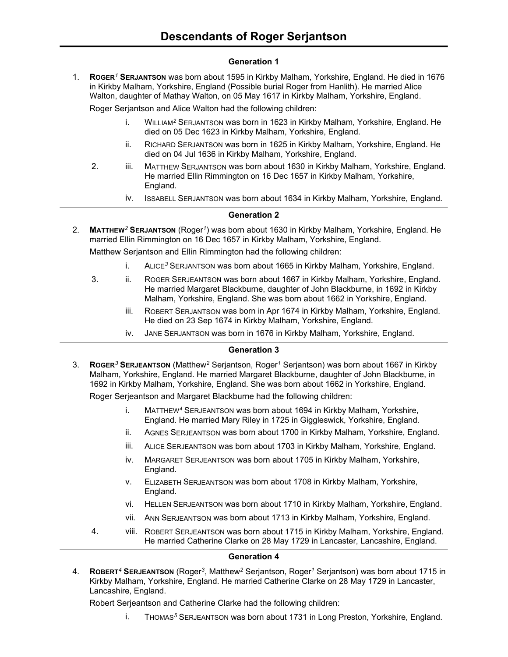## **Generation 1**

1. **ROGER***<sup>1</sup>* **SERJANTSON** was born about 1595 in Kirkby Malham, Yorkshire, England. He died in 1676 in Kirkby Malham, Yorkshire, England (Possible burial Roger from Hanlith). He married Alice Walton, daughter of Mathay Walton, on 05 May 1617 in Kirkby Malham, Yorkshire, England.

Roger Serjantson and Alice Walton had the following children:

- i. WILLIAM*<sup>2</sup>* SERJANTSON was born in 1623 in Kirkby Malham, Yorkshire, England. He died on 05 Dec 1623 in Kirkby Malham, Yorkshire, England.
- ii. RICHARD SERJANTSON was born in 1625 in Kirkby Malham, Yorkshire, England. He died on 04 Jul 1636 in Kirkby Malham, Yorkshire, England.
- 2. iii. MATTHEW SERJANTSON was born about 1630 in Kirkby Malham, Yorkshire, England. He married Ellin Rimmington on 16 Dec 1657 in Kirkby Malham, Yorkshire, England.
	- iv. ISSABELL SERJANTSON was born about 1634 in Kirkby Malham, Yorkshire, England.

## **Generation 2**

2. **MATTHEW***<sup>2</sup>* **SERJANTSON** (Roger*<sup>1</sup>* ) was born about 1630 in Kirkby Malham, Yorkshire, England. He married Ellin Rimmington on 16 Dec 1657 in Kirkby Malham, Yorkshire, England.

Matthew Serjantson and Ellin Rimmington had the following children:

- i. ALICE*<sup>3</sup>* SERJANTSON was born about 1665 in Kirkby Malham, Yorkshire, England.
- 3. ii. ROGER SERJEANTSON was born about 1667 in Kirkby Malham, Yorkshire, England. He married Margaret Blackburne, daughter of John Blackburne, in 1692 in Kirkby Malham, Yorkshire, England. She was born about 1662 in Yorkshire, England.
	- iii. ROBERT SERJANTSON was born in Apr 1674 in Kirkby Malham, Yorkshire, England. He died on 23 Sep 1674 in Kirkby Malham, Yorkshire, England.
	- iv. JANE SERJANTSON was born in 1676 in Kirkby Malham, Yorkshire, England.

### **Generation 3**

3. **ROGER***<sup>3</sup>* **SERJEANTSON** (Matthew*<sup>2</sup>* Serjantson, Roger*<sup>1</sup>* Serjantson) was born about 1667 in Kirkby Malham, Yorkshire, England. He married Margaret Blackburne, daughter of John Blackburne, in 1692 in Kirkby Malham, Yorkshire, England. She was born about 1662 in Yorkshire, England.

Roger Serjeantson and Margaret Blackburne had the following children:

- i. MATTHEW*<sup>4</sup>* SERJEANTSON was born about 1694 in Kirkby Malham, Yorkshire, England. He married Mary Riley in 1725 in Giggleswick, Yorkshire, England.
- ii. AGNES SERJEANTSON was born about 1700 in Kirkby Malham, Yorkshire, England.
- iii. ALICE SERJEANTSON was born about 1703 in Kirkby Malham, Yorkshire, England.
- iv. MARGARET SERJEANTSON was born about 1705 in Kirkby Malham, Yorkshire, England.
- v. ELIZABETH SERJEANTSON was born about 1708 in Kirkby Malham, Yorkshire, England.
- vi. HELLEN SERJEANTSON was born about 1710 in Kirkby Malham, Yorkshire, England.
- vii. ANN SERJEANTSON was born about 1713 in Kirkby Malham, Yorkshire, England.
- 4. viii. ROBERT SERJEANTSON was born about 1715 in Kirkby Malham, Yorkshire, England. He married Catherine Clarke on 28 May 1729 in Lancaster, Lancashire, England.

#### **Generation 4**

4. **ROBERT***<sup>4</sup>* **SERJEANTSON** (Roger*<sup>3</sup>* , Matthew*<sup>2</sup>* Serjantson, Roger*<sup>1</sup>* Serjantson) was born about 1715 in Kirkby Malham, Yorkshire, England. He married Catherine Clarke on 28 May 1729 in Lancaster, Lancashire, England.

Robert Serjeantson and Catherine Clarke had the following children:

i. THOMAS*<sup>5</sup>* SERJEANTSON was born about 1731 in Long Preston, Yorkshire, England.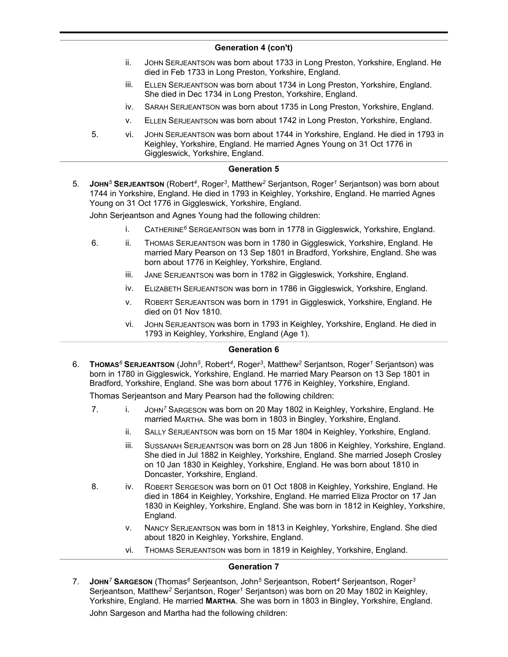## **Generation 4 (con't)**

- ii. JOHN SERJEANTSON was born about 1733 in Long Preston, Yorkshire, England. He died in Feb 1733 in Long Preston, Yorkshire, England.
- iii. ELLEN SERJEANTSON was born about 1734 in Long Preston, Yorkshire, England. She died in Dec 1734 in Long Preston, Yorkshire, England.
- iv. SARAH SERJEANTSON was born about 1735 in Long Preston, Yorkshire, England.
- v. ELLEN SERJEANTSON was born about 1742 in Long Preston, Yorkshire, England.
- 5. vi. JOHN SERJEANTSON was born about 1744 in Yorkshire, England. He died in 1793 in Keighley, Yorkshire, England. He married Agnes Young on 31 Oct 1776 in Giggleswick, Yorkshire, England.

# **Generation 5**

5. **JOHN***<sup>5</sup>* **SERJEANTSON** (Robert*<sup>4</sup>* , Roger*<sup>3</sup>* , Matthew*<sup>2</sup>* Serjantson, Roger*<sup>1</sup>* Serjantson) was born about 1744 in Yorkshire, England. He died in 1793 in Keighley, Yorkshire, England. He married Agnes Young on 31 Oct 1776 in Giggleswick, Yorkshire, England.

John Serjeantson and Agnes Young had the following children:

- i. CATHERINE*<sup>6</sup>* SERGEANTSON was born in 1778 in Giggleswick, Yorkshire, England.
- 6. ii. THOMAS SERJEANTSON was born in 1780 in Giggleswick, Yorkshire, England. He married Mary Pearson on 13 Sep 1801 in Bradford, Yorkshire, England. She was born about 1776 in Keighley, Yorkshire, England.
	- iii. JANE SERJEANTSON was born in 1782 in Giggleswick, Yorkshire, England.
	- iv. ELIZABETH SERJEANTSON was born in 1786 in Giggleswick, Yorkshire, England.
	- v. ROBERT SERJEANTSON was born in 1791 in Giggleswick, Yorkshire, England. He died on 01 Nov 1810.
	- vi. JOHN SERJEANTSON was born in 1793 in Keighley, Yorkshire, England. He died in 1793 in Keighley, Yorkshire, England (Age 1).

## **Generation 6**

6. **THOMAS***<sup>6</sup>* **SERJEANTSON** (John*<sup>5</sup>* , Robert*<sup>4</sup>* , Roger*<sup>3</sup>* , Matthew*<sup>2</sup>* Serjantson, Roger*<sup>1</sup>* Serjantson) was born in 1780 in Giggleswick, Yorkshire, England. He married Mary Pearson on 13 Sep 1801 in Bradford, Yorkshire, England. She was born about 1776 in Keighley, Yorkshire, England.

Thomas Serjeantson and Mary Pearson had the following children:

- 7. i. JOHN*<sup>7</sup>* SARGESON was born on 20 May 1802 in Keighley, Yorkshire, England. He married MARTHA. She was born in 1803 in Bingley, Yorkshire, England.
	- ii. SALLY SERJEANTSON was born on 15 Mar 1804 in Keighley, Yorkshire, England.
	- iii. SUSSANAH SERJEANTSON was born on 28 Jun 1806 in Keighley, Yorkshire, England. She died in Jul 1882 in Keighley, Yorkshire, England. She married Joseph Crosley on 10 Jan 1830 in Keighley, Yorkshire, England. He was born about 1810 in Doncaster, Yorkshire, England.
- 8. iv. ROBERT SERGESON was born on 01 Oct 1808 in Keighley, Yorkshire, England. He died in 1864 in Keighley, Yorkshire, England. He married Eliza Proctor on 17 Jan 1830 in Keighley, Yorkshire, England. She was born in 1812 in Keighley, Yorkshire, England.
	- v. NANCY SERJEANTSON was born in 1813 in Keighley, Yorkshire, England. She died about 1820 in Keighley, Yorkshire, England.
	- vi. THOMAS SERJEANTSON was born in 1819 in Keighley, Yorkshire, England.

# **Generation 7**

7. **JOHN***<sup>7</sup>* **SARGESON** (Thomas*<sup>6</sup>* Serjeantson, John*<sup>5</sup>* Serjeantson, Robert*<sup>4</sup>* Serjeantson, Roger*<sup>3</sup>* Serjeantson, Matthew*<sup>2</sup>* Serjantson, Roger*<sup>1</sup>* Serjantson) was born on 20 May 1802 in Keighley, Yorkshire, England. He married **MARTHA**. She was born in 1803 in Bingley, Yorkshire, England. John Sargeson and Martha had the following children: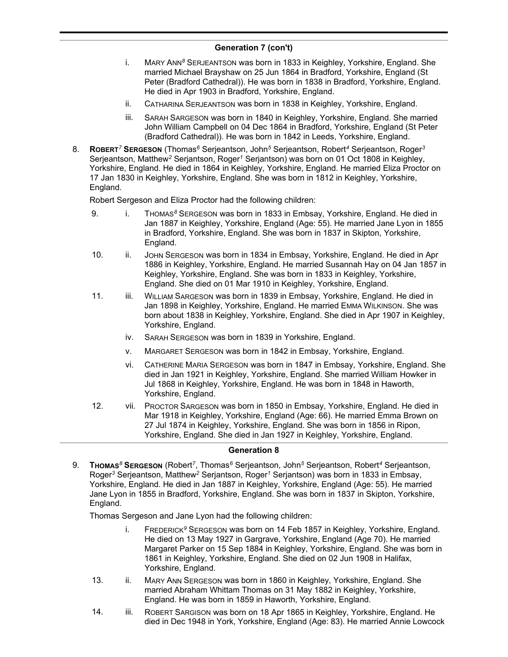## **Generation 7 (con't)**

- i. MARY ANN*<sup>8</sup>* SERJEANTSON was born in 1833 in Keighley, Yorkshire, England. She married Michael Brayshaw on 25 Jun 1864 in Bradford, Yorkshire, England (St Peter (Bradford Cathedral)). He was born in 1838 in Bradford, Yorkshire, England. He died in Apr 1903 in Bradford, Yorkshire, England.
- ii. CATHARINA SERJEANTSON was born in 1838 in Keighley, Yorkshire, England.
- iii. SARAH SARGESON was born in 1840 in Keighley, Yorkshire, England. She married John William Campbell on 04 Dec 1864 in Bradford, Yorkshire, England (St Peter (Bradford Cathedral)). He was born in 1842 in Leeds, Yorkshire, England.
- 8. **ROBERT***<sup>7</sup>* **SERGESON** (Thomas*<sup>6</sup>* Serjeantson, John*<sup>5</sup>* Serjeantson, Robert*<sup>4</sup>* Serjeantson, Roger*<sup>3</sup>* Serjeantson, Matthew*<sup>2</sup>* Serjantson, Roger*<sup>1</sup>* Serjantson) was born on 01 Oct 1808 in Keighley, Yorkshire, England. He died in 1864 in Keighley, Yorkshire, England. He married Eliza Proctor on 17 Jan 1830 in Keighley, Yorkshire, England. She was born in 1812 in Keighley, Yorkshire, England.

Robert Sergeson and Eliza Proctor had the following children:

- 9. i. THOMAS*<sup>8</sup>* SERGESON was born in 1833 in Embsay, Yorkshire, England. He died in Jan 1887 in Keighley, Yorkshire, England (Age: 55). He married Jane Lyon in 1855 in Bradford, Yorkshire, England. She was born in 1837 in Skipton, Yorkshire, England.
- 10. ii. JOHN SERGESON was born in 1834 in Embsay, Yorkshire, England. He died in Apr 1886 in Keighley, Yorkshire, England. He married Susannah Hay on 04 Jan 1857 in Keighley, Yorkshire, England. She was born in 1833 in Keighley, Yorkshire, England. She died on 01 Mar 1910 in Keighley, Yorkshire, England.
- 11. iii. WILLIAM SARGESON was born in 1839 in Embsay, Yorkshire, England. He died in Jan 1898 in Keighley, Yorkshire, England. He married EMMA WILKINSON. She was born about 1838 in Keighley, Yorkshire, England. She died in Apr 1907 in Keighley, Yorkshire, England.
	- iv. SARAH SERGESON was born in 1839 in Yorkshire, England.
	- v. MARGARET SERGESON was born in 1842 in Embsay, Yorkshire, England.
	- vi. CATHERINE MARIA SERGESON was born in 1847 in Embsay, Yorkshire, England. She died in Jan 1921 in Keighley, Yorkshire, England. She married William Howker in Jul 1868 in Keighley, Yorkshire, England. He was born in 1848 in Haworth, Yorkshire, England.
- 12. vii. PROCTOR SARGESON was born in 1850 in Embsay, Yorkshire, England. He died in Mar 1918 in Keighley, Yorkshire, England (Age: 66). He married Emma Brown on 27 Jul 1874 in Keighley, Yorkshire, England. She was born in 1856 in Ripon, Yorkshire, England. She died in Jan 1927 in Keighley, Yorkshire, England.

### **Generation 8**

9. **THOMAS***<sup>8</sup>* **SERGESON** (Robert*<sup>7</sup>* , Thomas*<sup>6</sup>* Serjeantson, John*<sup>5</sup>* Serjeantson, Robert*<sup>4</sup>* Serjeantson, Roger*<sup>3</sup>* Serjeantson, Matthew*<sup>2</sup>* Serjantson, Roger*<sup>1</sup>* Serjantson) was born in 1833 in Embsay, Yorkshire, England. He died in Jan 1887 in Keighley, Yorkshire, England (Age: 55). He married Jane Lyon in 1855 in Bradford, Yorkshire, England. She was born in 1837 in Skipton, Yorkshire, England.

Thomas Sergeson and Jane Lyon had the following children:

- i. FREDERICK*<sup>9</sup>* SERGESON was born on 14 Feb 1857 in Keighley, Yorkshire, England. He died on 13 May 1927 in Gargrave, Yorkshire, England (Age 70). He married Margaret Parker on 15 Sep 1884 in Keighley, Yorkshire, England. She was born in 1861 in Keighley, Yorkshire, England. She died on 02 Jun 1908 in Halifax, Yorkshire, England.
- 13. ii. MARY ANN SERGESON was born in 1860 in Keighley, Yorkshire, England. She married Abraham Whittam Thomas on 31 May 1882 in Keighley, Yorkshire, England. He was born in 1859 in Haworth, Yorkshire, England.
- 14. iii. ROBERT SARGISON was born on 18 Apr 1865 in Keighley, Yorkshire, England. He died in Dec 1948 in York, Yorkshire, England (Age: 83). He married Annie Lowcock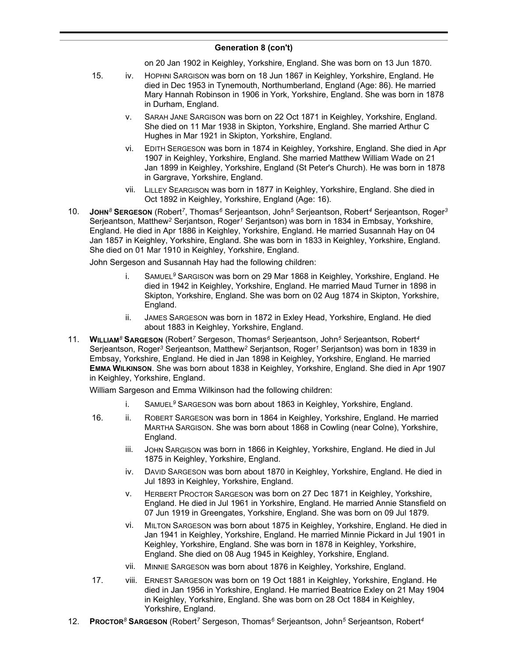## **Generation 8 (con't)**

on 20 Jan 1902 in Keighley, Yorkshire, England. She was born on 13 Jun 1870.

- 15. iv. HOPHNI SARGISON was born on 18 Jun 1867 in Keighley, Yorkshire, England. He died in Dec 1953 in Tynemouth, Northumberland, England (Age: 86). He married Mary Hannah Robinson in 1906 in York, Yorkshire, England. She was born in 1878 in Durham, England.
	- v. SARAH JANE SARGISON was born on 22 Oct 1871 in Keighley, Yorkshire, England. She died on 11 Mar 1938 in Skipton, Yorkshire, England. She married Arthur C Hughes in Mar 1921 in Skipton, Yorkshire, England.
	- vi. EDITH SERGESON was born in 1874 in Keighley, Yorkshire, England. She died in Apr 1907 in Keighley, Yorkshire, England. She married Matthew William Wade on 21 Jan 1899 in Keighley, Yorkshire, England (St Peter's Church). He was born in 1878 in Gargrave, Yorkshire, England.
	- vii. LILLEY SEARGISON was born in 1877 in Keighley, Yorkshire, England. She died in Oct 1892 in Keighley, Yorkshire, England (Age: 16).
- 10. **JOHN***<sup>8</sup>* **SERGESON** (Robert*<sup>7</sup>* , Thomas*<sup>6</sup>* Serjeantson, John*<sup>5</sup>* Serjeantson, Robert*<sup>4</sup>* Serjeantson, Roger*<sup>3</sup>* Serjeantson, Matthew*<sup>2</sup>* Serjantson, Roger*<sup>1</sup>* Serjantson) was born in 1834 in Embsay, Yorkshire, England. He died in Apr 1886 in Keighley, Yorkshire, England. He married Susannah Hay on 04 Jan 1857 in Keighley, Yorkshire, England. She was born in 1833 in Keighley, Yorkshire, England. She died on 01 Mar 1910 in Keighley, Yorkshire, England.

John Sergeson and Susannah Hay had the following children:

- i. SAMUEL*<sup>9</sup>* SARGISON was born on 29 Mar 1868 in Keighley, Yorkshire, England. He died in 1942 in Keighley, Yorkshire, England. He married Maud Turner in 1898 in Skipton, Yorkshire, England. She was born on 02 Aug 1874 in Skipton, Yorkshire, England.
- ii. JAMES SARGESON was born in 1872 in Exley Head, Yorkshire, England. He died about 1883 in Keighley, Yorkshire, England.
- 11. **WILLIAM***<sup>8</sup>* **SARGESON** (Robert*<sup>7</sup>* Sergeson, Thomas*<sup>6</sup>* Serjeantson, John*<sup>5</sup>* Serjeantson, Robert*<sup>4</sup>* Serjeantson, Roger*<sup>3</sup>* Serjeantson, Matthew*<sup>2</sup>* Serjantson, Roger*<sup>1</sup>* Serjantson) was born in 1839 in Embsay, Yorkshire, England. He died in Jan 1898 in Keighley, Yorkshire, England. He married **EMMA WILKINSON**. She was born about 1838 in Keighley, Yorkshire, England. She died in Apr 1907 in Keighley, Yorkshire, England.

William Sargeson and Emma Wilkinson had the following children:

- i. SAMUEL*<sup>9</sup>* SARGESON was born about 1863 in Keighley, Yorkshire, England.
- 16. ii. ROBERT SARGESON was born in 1864 in Keighley, Yorkshire, England. He married MARTHA SARGISON. She was born about 1868 in Cowling (near Colne), Yorkshire, England.
	- iii. JOHN SARGISON was born in 1866 in Keighley, Yorkshire, England. He died in Jul 1875 in Keighley, Yorkshire, England.
	- iv. DAVID SARGESON was born about 1870 in Keighley, Yorkshire, England. He died in Jul 1893 in Keighley, Yorkshire, England.
	- v. HERBERT PROCTOR SARGESON was born on 27 Dec 1871 in Keighley, Yorkshire, England. He died in Jul 1961 in Yorkshire, England. He married Annie Stansfield on 07 Jun 1919 in Greengates, Yorkshire, England. She was born on 09 Jul 1879.
	- vi. MILTON SARGESON was born about 1875 in Keighley, Yorkshire, England. He died in Jan 1941 in Keighley, Yorkshire, England. He married Minnie Pickard in Jul 1901 in Keighley, Yorkshire, England. She was born in 1878 in Keighley, Yorkshire, England. She died on 08 Aug 1945 in Keighley, Yorkshire, England.
	- vii. MINNIE SARGESON was born about 1876 in Keighley, Yorkshire, England.
- 17. viii. ERNEST SARGESON was born on 19 Oct 1881 in Keighley, Yorkshire, England. He died in Jan 1956 in Yorkshire, England. He married Beatrice Exley on 21 May 1904 in Keighley, Yorkshire, England. She was born on 28 Oct 1884 in Keighley, Yorkshire, England.
- 12. **PROCTOR***<sup>8</sup>* **SARGESON** (Robert*<sup>7</sup>* Sergeson, Thomas*<sup>6</sup>* Serjeantson, John*<sup>5</sup>* Serjeantson, Robert*<sup>4</sup>*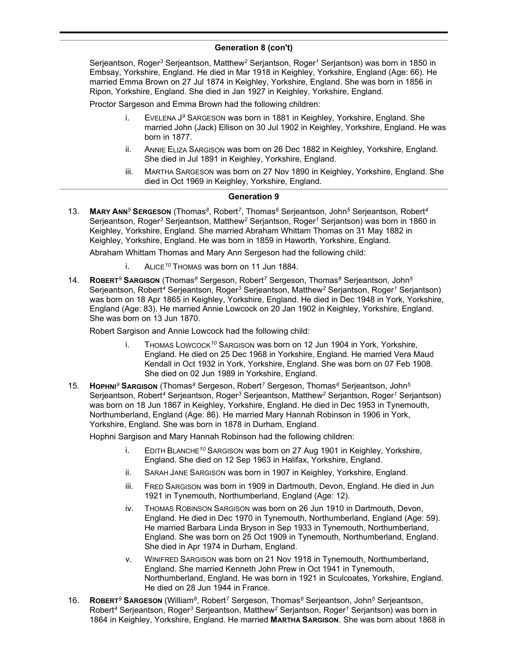## **Generation 8 (con't)**

Serjeantson, Roger*<sup>3</sup>* Serjeantson, Matthew*<sup>2</sup>* Serjantson, Roger*<sup>1</sup>* Serjantson) was born in 1850 in Embsay, Yorkshire, England. He died in Mar 1918 in Keighley, Yorkshire, England (Age: 66). He married Emma Brown on 27 Jul 1874 in Keighley, Yorkshire, England. She was born in 1856 in Ripon, Yorkshire, England. She died in Jan 1927 in Keighley, Yorkshire, England.

Proctor Sargeson and Emma Brown had the following children:

- i. EVELENA J *<sup>9</sup>* SARGESON was born in 1881 in Keighley, Yorkshire, England. She married John (Jack) Ellison on 30 Jul 1902 in Keighley, Yorkshire, England. He was born in 1877.
- ii. ANNIE ELIZA SARGISON was born on 26 Dec 1882 in Keighley, Yorkshire, England. She died in Jul 1891 in Keighley, Yorkshire, England.
- iii. MARTHA SARGESON was born on 27 Nov 1890 in Keighley, Yorkshire, England. She died in Oct 1969 in Keighley, Yorkshire, England.

## **Generation 9**

13. **MARY ANN***<sup>9</sup>* **SERGESON** (Thomas*<sup>8</sup>* , Robert*<sup>7</sup>* , Thomas*<sup>6</sup>* Serjeantson, John*<sup>5</sup>* Serjeantson, Robert*<sup>4</sup>* Serjeantson, Roger*<sup>3</sup>* Serjeantson, Matthew*<sup>2</sup>* Serjantson, Roger*<sup>1</sup>* Serjantson) was born in 1860 in Keighley, Yorkshire, England. She married Abraham Whittam Thomas on 31 May 1882 in Keighley, Yorkshire, England. He was born in 1859 in Haworth, Yorkshire, England.

Abraham Whittam Thomas and Mary Ann Sergeson had the following child:

- i. ALICE*<sup>10</sup>* THOMAS was born on 11 Jun 1884.
- 14. **ROBERT***<sup>9</sup>* **SARGISON** (Thomas*<sup>8</sup>* Sergeson, Robert*<sup>7</sup>* Sergeson, Thomas*<sup>6</sup>* Serjeantson, John*<sup>5</sup>* Serjeantson, Robert*<sup>4</sup>* Serjeantson, Roger*<sup>3</sup>* Serjeantson, Matthew*<sup>2</sup>* Serjantson, Roger*<sup>1</sup>* Serjantson) was born on 18 Apr 1865 in Keighley, Yorkshire, England. He died in Dec 1948 in York, Yorkshire, England (Age: 83). He married Annie Lowcock on 20 Jan 1902 in Keighley, Yorkshire, England. She was born on 13 Jun 1870.

Robert Sargison and Annie Lowcock had the following child:

- i. THOMAS LOWCOCK*<sup>10</sup>* SARGISON was born on 12 Jun 1904 in York, Yorkshire, England. He died on 25 Dec 1968 in Yorkshire, England. He married Vera Maud Kendall in Oct 1932 in York, Yorkshire, England. She was born on 07 Feb 1908. She died on 02 Jun 1989 in Yorkshire, England.
- 15. **HOPHNI***<sup>9</sup>* **SARGISON** (Thomas*<sup>8</sup>* Sergeson, Robert*<sup>7</sup>* Sergeson, Thomas*<sup>6</sup>* Serjeantson, John*<sup>5</sup>* Serjeantson, Robert*<sup>4</sup>* Serjeantson, Roger*<sup>3</sup>* Serjeantson, Matthew*<sup>2</sup>* Serjantson, Roger*<sup>1</sup>* Serjantson) was born on 18 Jun 1867 in Keighley, Yorkshire, England. He died in Dec 1953 in Tynemouth, Northumberland, England (Age: 86). He married Mary Hannah Robinson in 1906 in York, Yorkshire, England. She was born in 1878 in Durham, England.

Hophni Sargison and Mary Hannah Robinson had the following children:

- i. EDITH BLANCHE*<sup>10</sup>* SARGISON was born on 27 Aug 1901 in Keighley, Yorkshire, England. She died on 12 Sep 1963 in Halifax, Yorkshire, England.
- ii. SARAH JANE SARGISON was born in 1907 in Keighley, Yorkshire, England.
- iii. FRED SARGISON was born in 1909 in Dartmouth, Devon, England. He died in Jun 1921 in Tynemouth, Northumberland, England (Age: 12).
- iv. THOMAS ROBINSON SARGISON was born on 26 Jun 1910 in Dartmouth, Devon, England. He died in Dec 1970 in Tynemouth, Northumberland, England (Age: 59). He married Barbara Linda Bryson in Sep 1933 in Tynemouth, Northumberland, England. She was born on 25 Oct 1909 in Tynemouth, Northumberland, England. She died in Apr 1974 in Durham, England.
- v. WINIFRED SARGISON was born on 21 Nov 1918 in Tynemouth, Northumberland, England. She married Kenneth John Prew in Oct 1941 in Tynemouth, Northumberland, England. He was born in 1921 in Sculcoates, Yorkshire, England. He died on 28 Jun 1944 in France.
- 16. **ROBERT***<sup>9</sup>* **SARGESON** (William*<sup>8</sup>* , Robert*<sup>7</sup>* Sergeson, Thomas*<sup>6</sup>* Serjeantson, John*<sup>5</sup>* Serjeantson, Robert*<sup>4</sup>* Serjeantson, Roger*<sup>3</sup>* Serjeantson, Matthew*<sup>2</sup>* Serjantson, Roger*<sup>1</sup>* Serjantson) was born in 1864 in Keighley, Yorkshire, England. He married **MARTHA SARGISON**. She was born about 1868 in